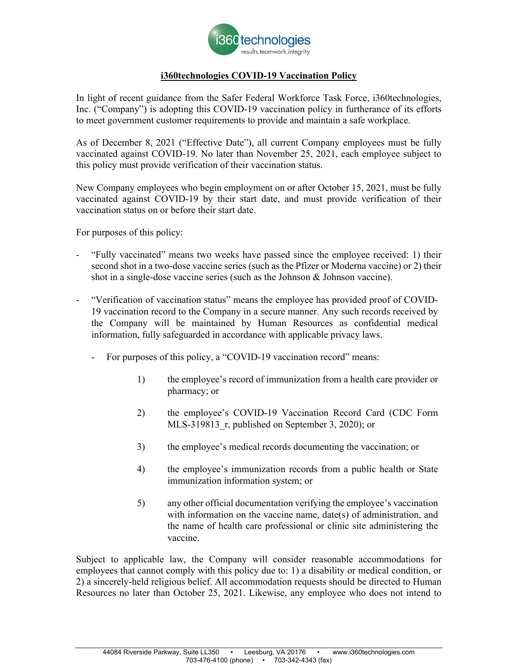

## **i360technologies COVID-19 Vaccination Policy**

In light of recent guidance from the Safer Federal Workforce Task Force, i360technologies, Inc. ("Company") is adopting this COVID-19 vaccination policy in furtherance of its efforts to meet government customer requirements to provide and maintain a safe workplace.

As of December 8, 2021 ("Effective Date"), all current Company employees must be fully vaccinated against COVID-19. No later than November 25, 2021, each employee subject to this policy must provide verification of their vaccination status.

New Company employees who begin employment on or after October 15, 2021, must be fully vaccinated against COVID-19 by their start date, and must provide verification of their vaccination status on or before their start date.

For purposes of this policy:

- "Fully vaccinated" means two weeks have passed since the employee received: 1) their second shot in a two-dose vaccine series (such as the Pfizer or Moderna vaccine) or 2) their shot in a single-dose vaccine series (such as the Johnson & Johnson vaccine).
- "Verification of vaccination status" means the employee has provided proof of COVID-19 vaccination record to the Company in a secure manner. Any such records received by the Company will be maintained by Human Resources as confidential medical information, fully safeguarded in accordance with applicable privacy laws.
	- For purposes of this policy, a "COVID-19 vaccination record" means:
		- 1) the employee's record of immunization from a health care provider or pharmacy; or
		- 2) the employee's COVID-19 Vaccination Record Card (CDC Form MLS-319813 r, published on September 3, 2020); or
		- 3) the employee's medical records documenting the vaccination; or
		- 4) the employee's immunization records from a public health or State immunization information system; or
		- 5) any other official documentation verifying the employee's vaccination with information on the vaccine name, date(s) of administration, and the name of health care professional or clinic site administering the vaccine.

Subject to applicable law, the Company will consider reasonable accommodations for employees that cannot comply with this policy due to: 1) a disability or medical condition, or 2) a sincerely-held religious belief. All accommodation requests should be directed to Human Resources no later than October 25, 2021. Likewise, any employee who does not intend to